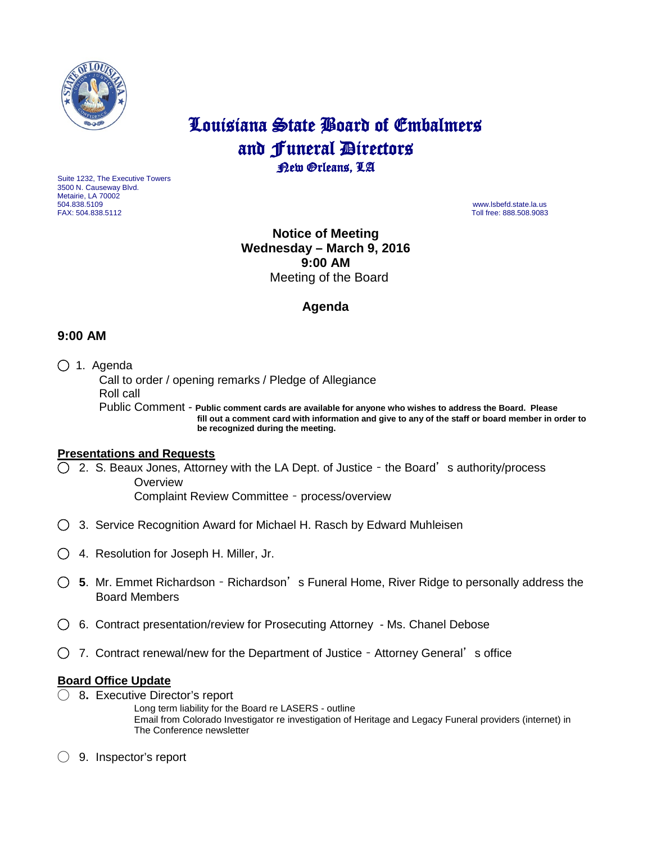

# Louisiana State Board of Embalmers and **Funeral Directors**<br>**Rew Orleans**, LA

Suite 1232, The Executive Towers 3500 N. Causeway Blvd. Metairie, LA 70002 504.838.5109 www.lsbefd.state.la.us

Toll free: 888.508.9083

**Notice of Meeting Wednesday – March 9, 2016 9:00 AM**  Meeting of the Board

# **Agenda**

# **9:00 AM**

◯ 1. Agenda

 Call to order / opening remarks / Pledge of Allegiance Roll call Public Comment - **Public comment cards are available for anyone who wishes to address the Board. Please**

 **fill out a comment card with information and give to any of the staff or board member in order to be recognized during the meeting.**

#### **Presentations and Requests**

◯2. S. Beaux Jones, Attorney with the LA Dept. of Justice – the Board's authority/process **Overview** Complaint Review Committee – process/overview

- ◯3. Service Recognition Award for Michael H. Rasch by Edward Muhleisen
- ◯4. Resolution for Joseph H. Miller, Jr.
- ◯ **5**.Mr. Emmet Richardson Richardson's Funeral Home, River Ridge to personally address the Board Members
- ◯6. Contract presentation/review for Prosecuting Attorney Ms. Chanel Debose
- ◯7. Contract renewal/new for the Department of Justice Attorney General's office

# **Board Office Update**

- ◯ 8**.** Executive Director's report
	- Long term liability for the Board re LASERS outline Email from Colorado Investigator re investigation of Heritage and Legacy Funeral providers (internet) in The Conference newsletter
- ◯ 9. Inspector's report